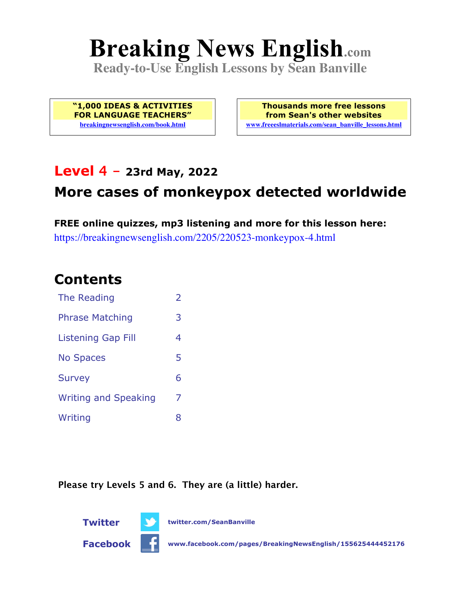# **Breaking News English.com**

**Ready-to-Use English Lessons by Sean Banville**

**"1,000 IDEAS & ACTIVITIES FOR LANGUAGE TEACHERS" breakingnewsenglish.com/book.html**

**Thousands more free lessons from Sean's other websites www.freeeslmaterials.com/sean\_banville\_lessons.html**

### **Level 4 - 23rd May, 2022**

# **More cases of monkeypox detected worldwide**

**FREE online quizzes, mp3 listening and more for this lesson here:** https://breakingnewsenglish.com/2205/220523-monkeypox-4.html

### **Contents**

| The Reading                 | $\overline{\phantom{a}}$ |
|-----------------------------|--------------------------|
| <b>Phrase Matching</b>      | 3                        |
| <b>Listening Gap Fill</b>   | 4                        |
| <b>No Spaces</b>            | 5                        |
| <b>Survey</b>               | 6                        |
| <b>Writing and Speaking</b> | 7                        |
| Writing                     | 8                        |

**Please try Levels 5 and 6. They are (a little) harder.**





**Twitter twitter.com/SeanBanville**

**Facebook www.facebook.com/pages/BreakingNewsEnglish/155625444452176**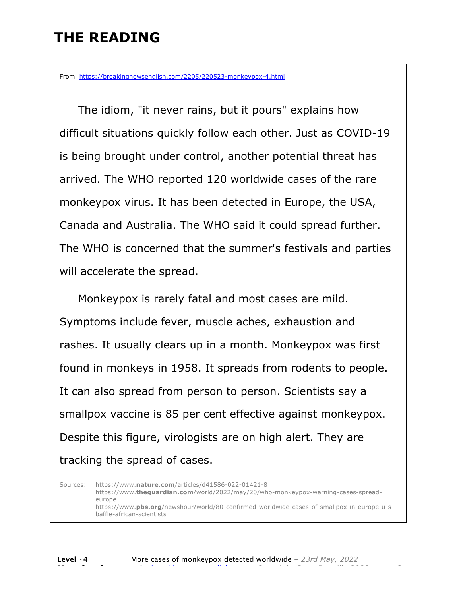# **THE READING**

From https://breakingnewsenglish.com/2205/220523-monkeypox-4.html

 The idiom, "it never rains, but it pours" explains how difficult situations quickly follow each other. Just as COVID-19 is being brought under control, another potential threat has arrived. The WHO reported 120 worldwide cases of the rare monkeypox virus. It has been detected in Europe, the USA, Canada and Australia. The WHO said it could spread further. The WHO is concerned that the summer's festivals and parties will accelerate the spread.

Monkeypox is rarely fatal and most cases are mild. Symptoms include fever, muscle aches, exhaustion and rashes. It usually clears up in a month. Monkeypox was first found in monkeys in 1958. It spreads from rodents to people. It can also spread from person to person. Scientists say a smallpox vaccine is 85 per cent effective against monkeypox. Despite this figure, virologists are on high alert. They are tracking the spread of cases.

Sources: https://www.**nature.com**/articles/d41586-022-01421-8 https://www.**theguardian.com**/world/2022/may/20/who-monkeypox-warning-cases-spreadeurope https://www.**pbs.org**/newshour/world/80-confirmed-worldwide-cases-of-smallpox-in-europe-u-sbaffle-african-scientists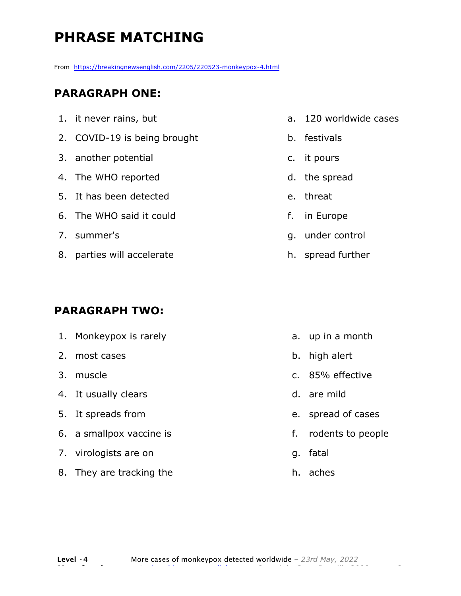# **PHRASE MATCHING**

From https://breakingnewsenglish.com/2205/220523-monkeypox-4.html

#### **PARAGRAPH ONE:**

| 1. it never rains, but       |
|------------------------------|
| 2. COVID-19 is being brought |
| 3. another potential         |
| 4. The WHO reported          |
| 5. It has been detected      |
| 6. The WHO said it could     |
| 7. summer's                  |
| 8. parties will accelerate   |
|                              |

#### **PARAGRAPH TWO:**

| 1. Monkeypox is rarely   |    | a. up in a month   |
|--------------------------|----|--------------------|
| 2. most cases            | b. | high alert         |
| 3. muscle                |    | c. 85% effective   |
| 4. It usually clears     |    | d. are mild        |
| 5. It spreads from       |    | e. spread of cases |
| 6. a smallpox vaccine is | f. | rodents to people  |
| 7. virologists are on    | q. | fatal              |
| 8. They are tracking the | h. | aches              |
|                          |    |                    |

- a. 120 worldwide cases
- b. festivals
- c. it pours
- d. the spread
- e. threat
- f. in Europe
- g. under control
- h. spread further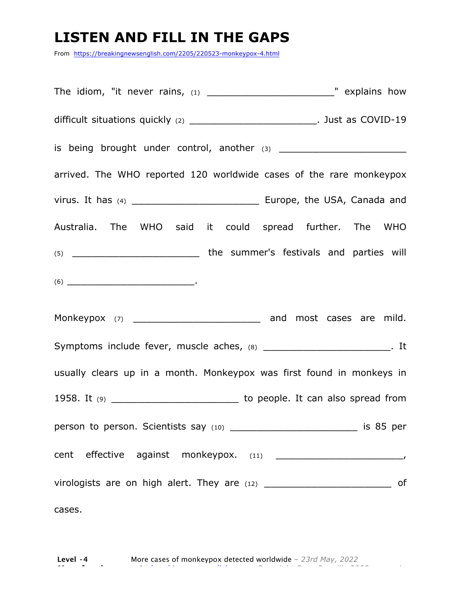### **LISTEN AND FILL IN THE GAPS**

From https://breakingnewsenglish.com/2205/220523-monkeypox-4.html

The idiom, "it never rains, (1) \_\_\_\_\_\_\_\_\_\_\_\_\_\_\_\_\_\_\_" explains how difficult situations quickly (2) \_\_\_\_\_\_\_\_\_\_\_\_\_\_\_\_\_\_\_\_\_\_\_\_\_\_\_\_\_\_\_. Just as COVID-19 is being brought under control, another (3) \_\_\_\_\_\_\_\_\_\_\_\_\_\_\_\_\_\_\_ arrived. The WHO reported 120 worldwide cases of the rare monkeypox virus. It has (4) \_\_\_\_\_\_\_\_\_\_\_\_\_\_\_\_\_\_\_ Europe, the USA, Canada and Australia. The WHO said it could spread further. The WHO (5) \_\_\_\_\_\_\_\_\_\_\_\_\_\_\_\_\_\_\_ the summer's festivals and parties will  $(6)$ Monkeypox (7) \_\_\_\_\_\_\_\_\_\_\_\_\_\_\_\_\_\_\_ and most cases are mild. Symptoms include fever, muscle aches, (8) \_\_\_\_\_\_\_\_\_\_\_\_\_\_\_\_\_\_\_\_\_\_\_\_. It usually clears up in a month. Monkeypox was first found in monkeys in 1958. It  $(9)$  \_\_\_\_\_\_\_\_\_\_\_\_\_\_\_\_\_\_\_\_\_\_\_\_\_\_\_\_\_\_\_\_ to people. It can also spread from person to person. Scientists say (10) \_\_\_\_\_\_\_\_\_\_\_\_\_\_\_\_\_\_\_ is 85 per cent effective against monkeypox. (11) \_\_\_\_\_\_\_\_\_\_\_\_\_\_\_\_\_\_\_, virologists are on high alert. They are  $(12)$  \_\_\_\_\_\_\_\_\_\_\_\_\_\_\_\_\_\_\_\_\_\_\_\_\_\_\_\_\_\_\_ of cases.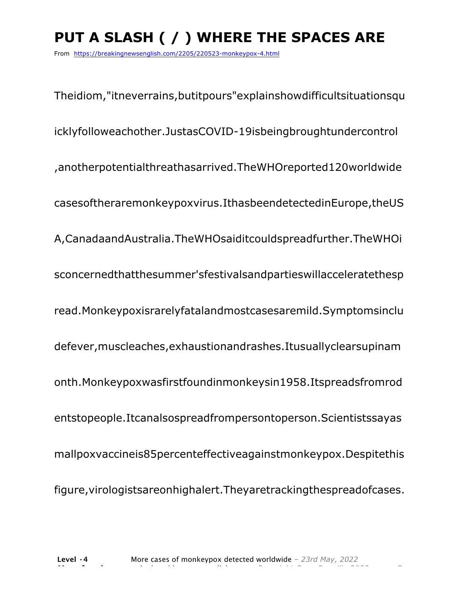# **PUT A SLASH ( / ) WHERE THE SPACES ARE**

From https://breakingnewsenglish.com/2205/220523-monkeypox-4.html

Theidiom,"itneverrains,butitpours"explainshowdifficultsituationsqu icklyfolloweachother.JustasCOVID-19isbeingbroughtundercontrol ,anotherpotentialthreathasarrived.TheWHOreported120worldwide casesoftheraremonkeypoxvirus.IthasbeendetectedinEurope,theUS A,CanadaandAustralia.TheWHOsaiditcouldspreadfurther.TheWHOi sconcernedthatthesummer'sfestivalsandpartieswillacceleratethesp read.Monkeypoxisrarelyfatalandmostcasesaremild.Symptomsinclu defever,muscleaches,exhaustionandrashes.Itusuallyclearsupinam onth.Monkeypoxwasfirstfoundinmonkeysin1958.Itspreadsfromrod entstopeople.Itcanalsospreadfrompersontoperson.Scientistssayas mallpoxvaccineis85percenteffectiveagainstmonkeypox.Despitethis figure,virologistsareonhighalert.Theyaretrackingthespreadofcases.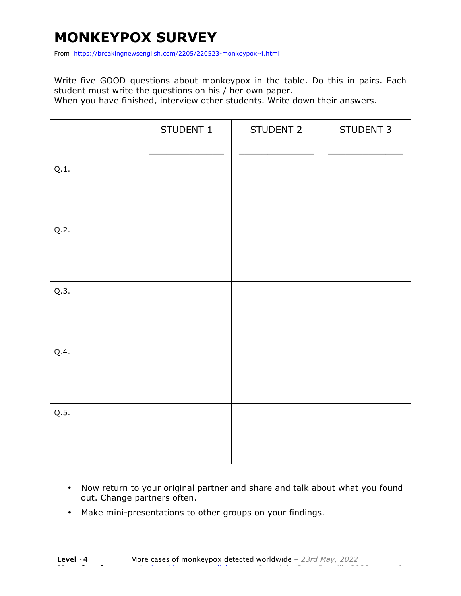# **MONKEYPOX SURVEY**

From https://breakingnewsenglish.com/2205/220523-monkeypox-4.html

Write five GOOD questions about monkeypox in the table. Do this in pairs. Each student must write the questions on his / her own paper.

When you have finished, interview other students. Write down their answers.

|      | STUDENT 1 | STUDENT 2 | STUDENT 3 |
|------|-----------|-----------|-----------|
| Q.1. |           |           |           |
| Q.2. |           |           |           |
| Q.3. |           |           |           |
| Q.4. |           |           |           |
| Q.5. |           |           |           |

- Now return to your original partner and share and talk about what you found out. Change partners often.
- Make mini-presentations to other groups on your findings.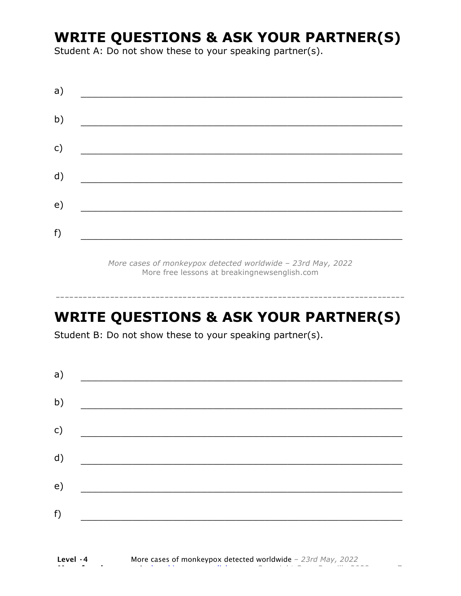# **WRITE QUESTIONS & ASK YOUR PARTNER(S)**

Student A: Do not show these to your speaking partner(s).

| a) |  |  |  |
|----|--|--|--|
| b) |  |  |  |
| c) |  |  |  |
| d) |  |  |  |
| e) |  |  |  |
| f) |  |  |  |

*More cases of monkeypox detected worldwide – 23rd May, 2022* More free lessons at breakingnewsenglish.com

## **WRITE QUESTIONS & ASK YOUR PARTNER(S)**

-----------------------------------------------------------------------------

Student B: Do not show these to your speaking partner(s).

| a)           |  |  |
|--------------|--|--|
| b)           |  |  |
| $\mathsf{C}$ |  |  |
| d)           |  |  |
| e)           |  |  |
| f)           |  |  |
|              |  |  |